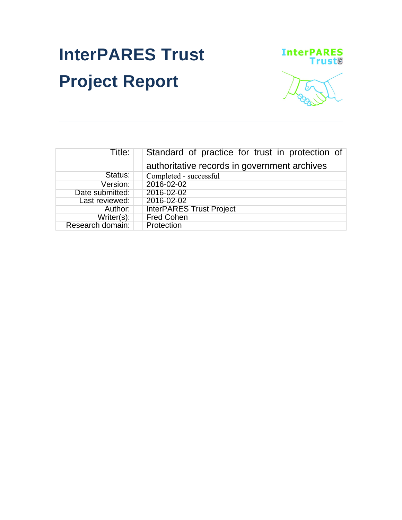# **InterPARES Trust Project Report**



| Title:           | Standard of practice for trust in protection of<br>authoritative records in government archives |
|------------------|-------------------------------------------------------------------------------------------------|
|                  |                                                                                                 |
| Status:          | Completed - successful                                                                          |
| Version:         | 2016-02-02                                                                                      |
| Date submitted:  | 2016-02-02                                                                                      |
| Last reviewed:   | 2016-02-02                                                                                      |
| Author:          | <b>InterPARES Trust Project</b>                                                                 |
| Writer(s):       | <b>Fred Cohen</b>                                                                               |
| Research domain: | Protection                                                                                      |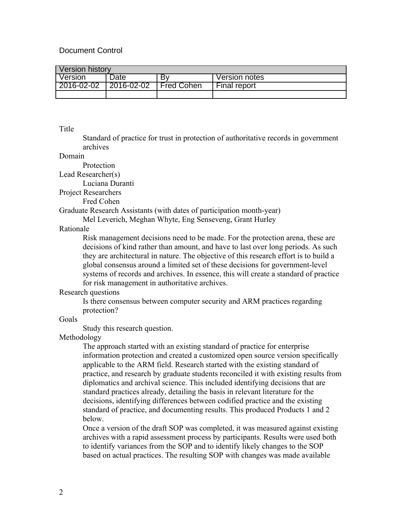# Document Control

| Version history |                    |                   |               |  |
|-----------------|--------------------|-------------------|---------------|--|
| Version         | Date:              | B٧                | Version notes |  |
| 2016-02-02      | $ 2016 - 02 - 02 $ | <b>Fred Cohen</b> | Final report  |  |
|                 |                    |                   |               |  |

### Title

Standard of practice for trust in protection of authoritative records in government archives

#### Domain

Protection

Lead Researcher(s)

Luciana Duranti

Project Researchers

Fred Cohen

Graduate Research Assistants (with dates of participation month-year)

Mel Leverich, Meghan Whyte, Eng Senseveng, Grant Hurley

# Rationale

Risk management decisions need to be made. For the protection arena, these are decisions of kind rather than amount, and have to last over long periods. As such they are architectural in nature. The objective of this research effort is to build a global consensus around a limited set of these decisions for government-level systems of records and archives. In essence, this will create a standard of practice for risk management in authoritative archives.

### Research questions

Is there consensus between computer security and ARM practices regarding protection?

# Goals

Study this research question.

## Methodology

The approach started with an existing standard of practice for enterprise information protection and created a customized open source version specifically applicable to the ARM field. Research started with the existing standard of practice, and research by graduate students reconciled it with existing results from diplomatics and archival science. This included identifying decisions that are standard practices already, detailing the basis in relevant literature for the decisions, identifying differences between codified practice and the existing standard of practice, and documenting results. This produced Products 1 and 2 below.

Once a version of the draft SOP was completed, it was measured against existing archives with a rapid assessment process by participants. Results were used both to identify variances from the SOP and to identify likely changes to the SOP based on actual practices. The resulting SOP with changes was made available